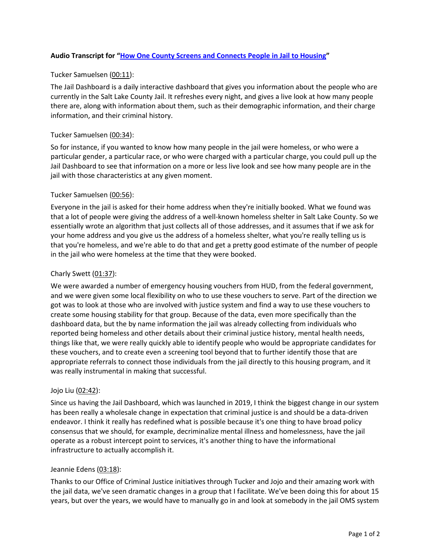# **Audio Transcript for "[How One County Screens and Connects People](https://csgjusticecenter.org/resources/videos/how-one-county-screens-and-connects-people-in-jail-to-housing/) in Jail to Housing"**

## Tucker Samuelsen (00:11):

The Jail Dashboard is a daily interactive dashboard that gives you information about the people who are currently in the Salt Lake County Jail. It refreshes every night, and gives a live look at how many people there are, along with information about them, such as their demographic information, and their charge information, and their criminal history.

## Tucker Samuelsen (00:34):

So for instance, if you wanted to know how many people in the jail were homeless, or who were a particular gender, a particular race, or who were charged with a particular charge, you could pull up the Jail Dashboard to see that information on a more or less live look and see how many people are in the jail with those characteristics at any given moment.

## Tucker Samuelsen (00:56):

Everyone in the jail is asked for their home address when they're initially booked. What we found was that a lot of people were giving the address of a well-known homeless shelter in Salt Lake County. So we essentially wrote an algorithm that just collects all of those addresses, and it assumes that if we ask for your home address and you give us the address of a homeless shelter, what you're really telling us is that you're homeless, and we're able to do that and get a pretty good estimate of the number of people in the jail who were homeless at the time that they were booked.

## Charly Swett  $(01:37)$ :

We were awarded a number of emergency housing vouchers from HUD, from the federal government, and we were given some local flexibility on who to use these vouchers to serve. Part of the direction we got was to look at those who are involved with justice system and find a way to use these vouchers to create some housing stability for that group. Because of the data, even more specifically than the dashboard data, but the by name information the jail was already collecting from individuals who reported being homeless and other details about their criminal justice history, mental health needs, things like that, we were really quickly able to identify people who would be appropriate candidates for these vouchers, and to create even a screening tool beyond that to further identify those that are appropriate referrals to connect those individuals from the jail directly to this housing program, and it was really instrumental in making that successful.

## Jojo Liu (02:42):

Since us having the Jail Dashboard, which was launched in 2019, I think the biggest change in our system has been really a wholesale change in expectation that criminal justice is and should be a data-driven endeavor. I think it really has redefined what is possible because it's one thing to have broad policy consensus that we should, for example, decriminalize mental illness and homelessness, have the jail operate as a robust intercept point to services, it's another thing to have the informational infrastructure to actually accomplish it.

## Jeannie Edens (03:18):

Thanks to our Office of Criminal Justice initiatives through Tucker and Jojo and their amazing work with the jail data, we've seen dramatic changes in a group that I facilitate. We've been doing this for about 15 years, but over the years, we would have to manually go in and look at somebody in the jail OMS system